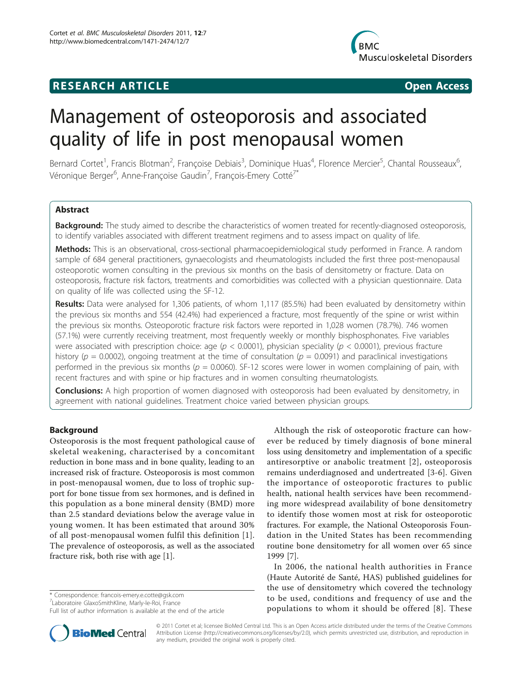## **RESEARCH ARTICLE CONSUMING ACCESS**

**Musculoskeletal Disorders** 

# Management of osteoporosis and associated quality of life in post menopausal women

Bernard Cortet<sup>1</sup>, Francis Blotman<sup>2</sup>, Françoise Debiais<sup>3</sup>, Dominique Huas<sup>4</sup>, Florence Mercier<sup>5</sup>, Chantal Rousseaux<sup>6</sup> , Véronique Berger<sup>6</sup>, Anne-Françoise Gaudin<sup>7</sup>, François-Emery Cotté<sup>7\*</sup>

### Abstract

Background: The study aimed to describe the characteristics of women treated for recently-diagnosed osteoporosis, to identify variables associated with different treatment regimens and to assess impact on quality of life.

Methods: This is an observational, cross-sectional pharmacoepidemiological study performed in France. A random sample of 684 general practitioners, gynaecologists and rheumatologists included the first three post-menopausal osteoporotic women consulting in the previous six months on the basis of densitometry or fracture. Data on osteoporosis, fracture risk factors, treatments and comorbidities was collected with a physician questionnaire. Data on quality of life was collected using the SF-12.

Results: Data were analysed for 1,306 patients, of whom 1,117 (85.5%) had been evaluated by densitometry within the previous six months and 554 (42.4%) had experienced a fracture, most frequently of the spine or wrist within the previous six months. Osteoporotic fracture risk factors were reported in 1,028 women (78.7%). 746 women (57.1%) were currently receiving treatment, most frequently weekly or monthly bisphosphonates. Five variables were associated with prescription choice: age ( $p < 0.0001$ ), physician speciality ( $p < 0.0001$ ), previous fracture history ( $p = 0.0002$ ), ongoing treatment at the time of consultation ( $p = 0.0091$ ) and paraclinical investigations performed in the previous six months ( $p = 0.0060$ ). SF-12 scores were lower in women complaining of pain, with recent fractures and with spine or hip fractures and in women consulting rheumatologists.

**Conclusions:** A high proportion of women diagnosed with osteoporosis had been evaluated by densitometry, in agreement with national guidelines. Treatment choice varied between physician groups.

#### Background

Osteoporosis is the most frequent pathological cause of skeletal weakening, characterised by a concomitant reduction in bone mass and in bone quality, leading to an increased risk of fracture. Osteoporosis is most common in post-menopausal women, due to loss of trophic support for bone tissue from sex hormones, and is defined in this population as a bone mineral density (BMD) more than 2.5 standard deviations below the average value in young women. It has been estimated that around 30% of all post-menopausal women fulfil this definition [[1\]](#page-10-0). The prevalence of osteoporosis, as well as the associated fracture risk, both rise with age [\[1](#page-10-0)].

\* Correspondence: [francois-emery.e.cotte@gsk.com](mailto:francois-emery.e.cotte@gsk.com)



In 2006, the national health authorities in France (Haute Autorité de Santé, HAS) published guidelines for the use of densitometry which covered the technology to be used, conditions and frequency of use and the populations to whom it should be offered [[8](#page-10-0)]. These



© 2011 Cortet et al; licensee BioMed Central Ltd. This is an Open Access article distributed under the terms of the Creative Commons Attribution License [\(http://creativecommons.org/licenses/by/2.0](http://creativecommons.org/licenses/by/2.0)), which permits unrestricted use, distribution, and reproduction in any medium, provided the original work is properly cited.

<sup>7</sup> Laboratoire GlaxoSmithKline, Marly-le-Roi, France

Full list of author information is available at the end of the article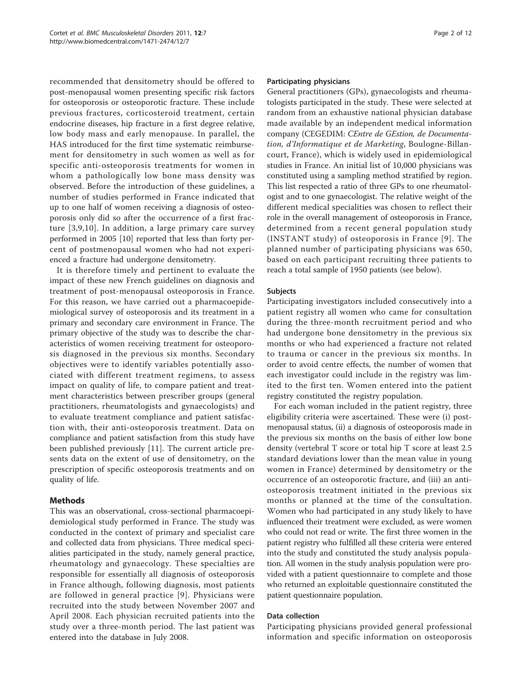recommended that densitometry should be offered to post-menopausal women presenting specific risk factors for osteoporosis or osteoporotic fracture. These include previous fractures, corticosteroid treatment, certain endocrine diseases, hip fracture in a first degree relative, low body mass and early menopause. In parallel, the HAS introduced for the first time systematic reimbursement for densitometry in such women as well as for specific anti-osteoporosis treatments for women in whom a pathologically low bone mass density was observed. Before the introduction of these guidelines, a number of studies performed in France indicated that up to one half of women receiving a diagnosis of osteoporosis only did so after the occurrence of a first fracture [\[3,9](#page-10-0),[10\]](#page-10-0). In addition, a large primary care survey performed in 2005 [\[10](#page-10-0)] reported that less than forty percent of postmenopausal women who had not experienced a fracture had undergone densitometry.

It is therefore timely and pertinent to evaluate the impact of these new French guidelines on diagnosis and treatment of post-menopausal osteoporosis in France. For this reason, we have carried out a pharmacoepidemiological survey of osteoporosis and its treatment in a primary and secondary care environment in France. The primary objective of the study was to describe the characteristics of women receiving treatment for osteoporosis diagnosed in the previous six months. Secondary objectives were to identify variables potentially associated with different treatment regimens, to assess impact on quality of life, to compare patient and treatment characteristics between prescriber groups (general practitioners, rheumatologists and gynaecologists) and to evaluate treatment compliance and patient satisfaction with, their anti-osteoporosis treatment. Data on compliance and patient satisfaction from this study have been published previously [[11\]](#page-10-0). The current article presents data on the extent of use of densitometry, on the prescription of specific osteoporosis treatments and on quality of life.

#### Methods

This was an observational, cross-sectional pharmacoepidemiological study performed in France. The study was conducted in the context of primary and specialist care and collected data from physicians. Three medical specialities participated in the study, namely general practice, rheumatology and gynaecology. These specialties are responsible for essentially all diagnosis of osteoporosis in France although, following diagnosis, most patients are followed in general practice [[9\]](#page-10-0). Physicians were recruited into the study between November 2007 and April 2008. Each physician recruited patients into the study over a three-month period. The last patient was entered into the database in July 2008.

#### Participating physicians

General practitioners (GPs), gynaecologists and rheumatologists participated in the study. These were selected at random from an exhaustive national physician database made available by an independent medical information company (CEGEDIM: CEntre de GEstion, de Documentation, d'Informatique et de Marketing, Boulogne-Billancourt, France), which is widely used in epidemiological studies in France. An initial list of 10,000 physicians was constituted using a sampling method stratified by region. This list respected a ratio of three GPs to one rheumatologist and to one gynaecologist. The relative weight of the different medical specialities was chosen to reflect their role in the overall management of osteoporosis in France, determined from a recent general population study (INSTANT study) of osteoporosis in France [[9](#page-10-0)]. The planned number of participating physicians was 650, based on each participant recruiting three patients to reach a total sample of 1950 patients (see below).

#### Subjects

Participating investigators included consecutively into a patient registry all women who came for consultation during the three-month recruitment period and who had undergone bone densitometry in the previous six months or who had experienced a fracture not related to trauma or cancer in the previous six months. In order to avoid centre effects, the number of women that each investigator could include in the registry was limited to the first ten. Women entered into the patient registry constituted the registry population.

For each woman included in the patient registry, three eligibility criteria were ascertained. These were (i) postmenopausal status, (ii) a diagnosis of osteoporosis made in the previous six months on the basis of either low bone density (vertebral T score or total hip T score at least 2.5 standard deviations lower than the mean value in young women in France) determined by densitometry or the occurrence of an osteoporotic fracture, and (iii) an antiosteoporosis treatment initiated in the previous six months or planned at the time of the consultation. Women who had participated in any study likely to have influenced their treatment were excluded, as were women who could not read or write. The first three women in the patient registry who fulfilled all these criteria were entered into the study and constituted the study analysis population. All women in the study analysis population were provided with a patient questionnaire to complete and those who returned an exploitable questionnaire constituted the patient questionnaire population.

#### Data collection

Participating physicians provided general professional information and specific information on osteoporosis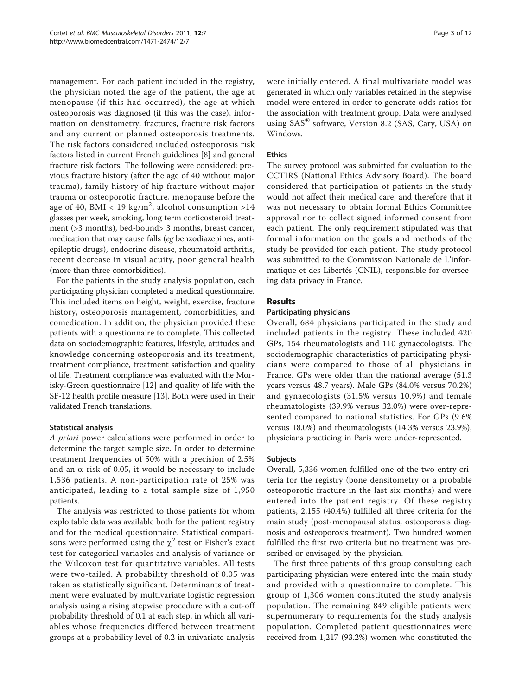management. For each patient included in the registry, the physician noted the age of the patient, the age at menopause (if this had occurred), the age at which osteoporosis was diagnosed (if this was the case), information on densitometry, fractures, fracture risk factors and any current or planned osteoporosis treatments. The risk factors considered included osteoporosis risk factors listed in current French guidelines [\[8](#page-10-0)] and general fracture risk factors. The following were considered: previous fracture history (after the age of 40 without major trauma), family history of hip fracture without major trauma or osteoporotic fracture, menopause before the age of 40, BMI < 19 kg/m $^2$ , alcohol consumption >14  $\,$ glasses per week, smoking, long term corticosteroid treatment (>3 months), bed-bound> 3 months, breast cancer, medication that may cause falls (eg benzodiazepines, antiepileptic drugs), endocrine disease, rheumatoid arthritis, recent decrease in visual acuity, poor general health (more than three comorbidities).

For the patients in the study analysis population, each participating physician completed a medical questionnaire. This included items on height, weight, exercise, fracture history, osteoporosis management, comorbidities, and comedication. In addition, the physician provided these patients with a questionnaire to complete. This collected data on sociodemographic features, lifestyle, attitudes and knowledge concerning osteoporosis and its treatment, treatment compliance, treatment satisfaction and quality of life. Treatment compliance was evaluated with the Morisky-Green questionnaire [[12\]](#page-10-0) and quality of life with the SF-12 health profile measure [\[13](#page-10-0)]. Both were used in their validated French translations.

#### Statistical analysis

A priori power calculations were performed in order to determine the target sample size. In order to determine treatment frequencies of 50% with a precision of 2.5% and an  $\alpha$  risk of 0.05, it would be necessary to include 1,536 patients. A non-participation rate of 25% was anticipated, leading to a total sample size of 1,950 patients.

The analysis was restricted to those patients for whom exploitable data was available both for the patient registry and for the medical questionnaire. Statistical comparisons were performed using the  $\chi^2$  test or Fisher's exact test for categorical variables and analysis of variance or the Wilcoxon test for quantitative variables. All tests were two-tailed. A probability threshold of 0.05 was taken as statistically significant. Determinants of treatment were evaluated by multivariate logistic regression analysis using a rising stepwise procedure with a cut-off probability threshold of 0.1 at each step, in which all variables whose frequencies differed between treatment groups at a probability level of 0.2 in univariate analysis were initially entered. A final multivariate model was generated in which only variables retained in the stepwise model were entered in order to generate odds ratios for the association with treatment group. Data were analysed using SAS<sup>®</sup> software, Version 8.2 (SAS, Cary, USA) on Windows.

#### Ethics

The survey protocol was submitted for evaluation to the CCTIRS (National Ethics Advisory Board). The board considered that participation of patients in the study would not affect their medical care, and therefore that it was not necessary to obtain formal Ethics Committee approval nor to collect signed informed consent from each patient. The only requirement stipulated was that formal information on the goals and methods of the study be provided for each patient. The study protocol was submitted to the Commission Nationale de L'informatique et des Libertés (CNIL), responsible for overseeing data privacy in France.

#### Results

#### Participating physicians

Overall, 684 physicians participated in the study and included patients in the registry. These included 420 GPs, 154 rheumatologists and 110 gynaecologists. The sociodemographic characteristics of participating physicians were compared to those of all physicians in France. GPs were older than the national average (51.3 years versus 48.7 years). Male GPs (84.0% versus 70.2%) and gynaecologists (31.5% versus 10.9%) and female rheumatologists (39.9% versus 32.0%) were over-represented compared to national statistics. For GPs (9.6% versus 18.0%) and rheumatologists (14.3% versus 23.9%), physicians practicing in Paris were under-represented.

#### Subjects

Overall, 5,336 women fulfilled one of the two entry criteria for the registry (bone densitometry or a probable osteoporotic fracture in the last six months) and were entered into the patient registry. Of these registry patients, 2,155 (40.4%) fulfilled all three criteria for the main study (post-menopausal status, osteoporosis diagnosis and osteoporosis treatment). Two hundred women fulfilled the first two criteria but no treatment was prescribed or envisaged by the physician.

The first three patients of this group consulting each participating physician were entered into the main study and provided with a questionnaire to complete. This group of 1,306 women constituted the study analysis population. The remaining 849 eligible patients were supernumerary to requirements for the study analysis population. Completed patient questionnaires were received from 1,217 (93.2%) women who constituted the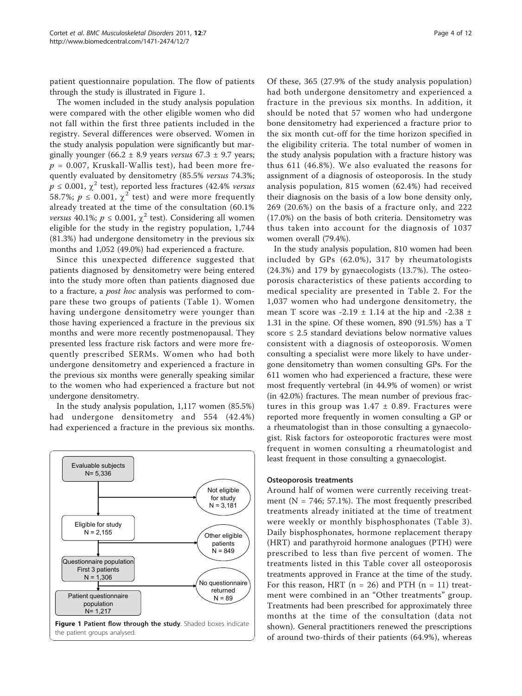patient questionnaire population. The flow of patients through the study is illustrated in Figure 1.

The women included in the study analysis population were compared with the other eligible women who did not fall within the first three patients included in the registry. Several differences were observed. Women in the study analysis population were significantly but marginally younger (66.2  $\pm$  8.9 years versus 67.3  $\pm$  9.7 years;  $p = 0.007$ , Kruskall-Wallis test), had been more frequently evaluated by densitometry (85.5% versus 74.3%;  $p \le 0.001$ ,  $\chi^2$  test), reported less fractures (42.4% versus 58.7%;  $p \le 0.001$ ,  $\chi^2$  test) and were more frequently already treated at the time of the consultation (60.1% versus 40.1%;  $p \le 0.001$ ,  $\chi^2$  test). Considering all women eligible for the study in the registry population, 1,744 (81.3%) had undergone densitometry in the previous six months and 1,052 (49.0%) had experienced a fracture.

Since this unexpected difference suggested that patients diagnosed by densitometry were being entered into the study more often than patients diagnosed due to a fracture, a post hoc analysis was performed to compare these two groups of patients (Table [1\)](#page-4-0). Women having undergone densitometry were younger than those having experienced a fracture in the previous six months and were more recently postmenopausal. They presented less fracture risk factors and were more frequently prescribed SERMs. Women who had both undergone densitometry and experienced a fracture in the previous six months were generally speaking similar to the women who had experienced a fracture but not undergone densitometry.

In the study analysis population, 1,117 women (85.5%) had undergone densitometry and 554 (42.4%) had experienced a fracture in the previous six months.



Of these, 365 (27.9% of the study analysis population) had both undergone densitometry and experienced a fracture in the previous six months. In addition, it should be noted that 57 women who had undergone bone densitometry had experienced a fracture prior to the six month cut-off for the time horizon specified in the eligibility criteria. The total number of women in the study analysis population with a fracture history was thus 611 (46.8%). We also evaluated the reasons for assignment of a diagnosis of osteoporosis. In the study analysis population, 815 women (62.4%) had received their diagnosis on the basis of a low bone density only, 269 (20.6%) on the basis of a fracture only, and 222 (17.0%) on the basis of both criteria. Densitometry was thus taken into account for the diagnosis of 1037 women overall (79.4%).

In the study analysis population, 810 women had been included by GPs (62.0%), 317 by rheumatologists (24.3%) and 179 by gynaecologists (13.7%). The osteoporosis characteristics of these patients according to medical speciality are presented in Table [2.](#page-4-0) For the 1,037 women who had undergone densitometry, the mean T score was  $-2.19 \pm 1.14$  at the hip and  $-2.38 \pm 1.14$ 1.31 in the spine. Of these women, 890 (91.5%) has a T score  $\leq$  2.5 standard deviations below normative values consistent with a diagnosis of osteoporosis. Women consulting a specialist were more likely to have undergone densitometry than women consulting GPs. For the 611 women who had experienced a fracture, these were most frequently vertebral (in 44.9% of women) or wrist (in 42.0%) fractures. The mean number of previous fractures in this group was  $1.47 \pm 0.89$ . Fractures were reported more frequently in women consulting a GP or a rheumatologist than in those consulting a gynaecologist. Risk factors for osteoporotic fractures were most frequent in women consulting a rheumatologist and least frequent in those consulting a gynaecologist.

#### Osteoporosis treatments

Around half of women were currently receiving treatment ( $N = 746$ ; 57.1%). The most frequently prescribed treatments already initiated at the time of treatment were weekly or monthly bisphosphonates (Table [3\)](#page-5-0). Daily bisphosphonates, hormone replacement therapy (HRT) and parathyroid hormone analogues (PTH) were prescribed to less than five percent of women. The treatments listed in this Table cover all osteoporosis treatments approved in France at the time of the study. For this reason, HRT ( $n = 26$ ) and PTH ( $n = 11$ ) treatment were combined in an "Other treatments" group. Treatments had been prescribed for approximately three months at the time of the consultation (data not shown). General practitioners renewed the prescriptions of around two-thirds of their patients (64.9%), whereas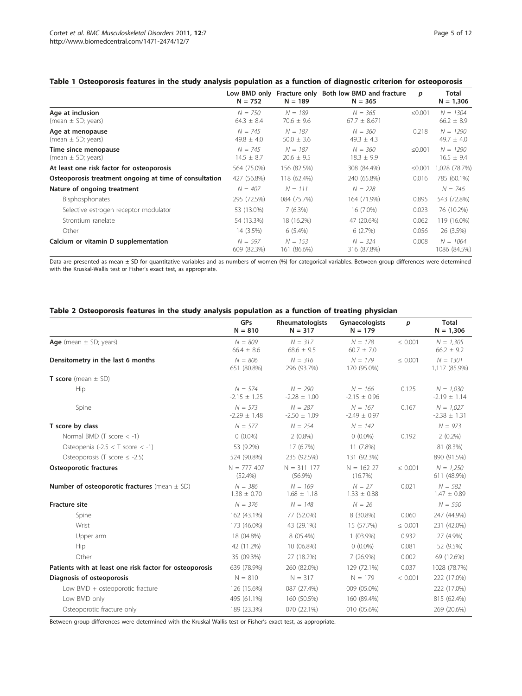|                                                        | Low BMD only<br>$N = 752$   | Fracture only<br>$N = 189$  | Both low BMD and fracture<br>$N = 365$ | p            | Total<br>$N = 1,306$         |
|--------------------------------------------------------|-----------------------------|-----------------------------|----------------------------------------|--------------|------------------------------|
| Age at inclusion<br>(mean $\pm$ SD; years)             | $N = 750$<br>$64.3 \pm 8.4$ | $N = 189$<br>$70.6 \pm 9.6$ | $N = 365$<br>$67.7 \pm 8.671$          | $\leq 0.001$ | $N = 1304$<br>$66.2 \pm 8.9$ |
| Age at menopause<br>(mean $\pm$ SD; years)             | $N = 745$<br>$49.8 \pm 4.0$ | $N = 187$<br>$50.0 \pm 3.6$ | $N = 360$<br>$49.3 \pm 4.3$            | 0.218        | $N = 1290$<br>$49.7 \pm 4.0$ |
| Time since menopause<br>(mean $\pm$ SD; years)         | $N = 745$<br>$14.5 \pm 8.7$ | $N = 187$<br>$20.6 \pm 9.5$ | $N = 360$<br>$18.3 \pm 9.9$            | $\leq 0.001$ | $N = 1290$<br>$16.5 \pm 9.4$ |
| At least one risk factor for osteoporosis              | 564 (75.0%)                 | 156 (82.5%)                 | 308 (84.4%)                            | ≤ $0.001$    | 1,028 (78.7%)                |
| Osteoporosis treatment ongoing at time of consultation | 427 (56.8%)                 | 118 (62.4%)                 | 240 (65.8%)                            | 0.016        | 785 (60.1%)                  |
| Nature of ongoing treatment                            | $N = 407$                   | $N = 111$                   | $N = 228$                              |              | $N = 746$                    |
| Bisphosphonates                                        | 295 (72.5%)                 | 084 (75.7%)                 | 164 (71.9%)                            | 0.895        | 543 (72.8%)                  |
| Selective estrogen receptor modulator                  | 53 (13.0%)                  | 7(6.3%)                     | 16 (7.0%)                              | 0.023        | 76 (10.2%)                   |
| Strontium ranelate                                     | 54 (13.3%)                  | 18 (16.2%)                  | 47 (20.6%)                             | 0.062        | 119 (16.0%)                  |
| Other                                                  | 14 (3.5%)                   | $6(5.4\%)$                  | 6(2.7%)                                | 0.056        | 26 (3.5%)                    |
| Calcium or vitamin D supplementation                   | $N = 597$<br>609 (82.3%)    | $N = 153$<br>161 (86.6%)    | $N = 324$<br>316 (87.8%)               | 0.008        | $N = 1064$<br>1086 (84.5%)   |

#### <span id="page-4-0"></span>Table 1 Osteoporosis features in the study analysis population as a function of diagnostic criterion for osteoporosis

Data are presented as mean ± SD for quantitative variables and as numbers of women (%) for categorical variables. Between group differences were determined with the Kruskal-Wallis test or Fisher's exact test, as appropriate.

### Table 2 Osteoporosis features in the study analysis population as a function of treating physician

|                                                         | <b>GPs</b><br>$N = 810$       | Rheumatologists<br>$N = 317$  | Gynaecologists<br>$N = 179$   | $\boldsymbol{p}$ | <b>Total</b><br>$N = 1,306$     |
|---------------------------------------------------------|-------------------------------|-------------------------------|-------------------------------|------------------|---------------------------------|
| Age (mean $\pm$ SD; years)                              | $N = 809$<br>$66.4 \pm 8.6$   | $N = 317$<br>$68.6 \pm 9.5$   | $N = 178$<br>$60.7 \pm 7.0$   | $\leq 0.001$     | $N = 1,305$<br>$66.2 \pm 9.2$   |
| Densitometry in the last 6 months                       | $N = 806$<br>651 (80.8%)      | $N = 316$<br>296 (93.7%)      | $N = 179$<br>170 (95.0%)      | $\leq 0.001$     | $N = 1301$<br>1,117 (85.9%)     |
| <b>T</b> score (mean $\pm$ SD)                          |                               |                               |                               |                  |                                 |
| Hip                                                     | $N = 574$<br>$-2.15 \pm 1.25$ | $N = 290$<br>$-2.28 \pm 1.00$ | $N = 166$<br>$-2.15 \pm 0.96$ | 0.125            | $N = 1,030$<br>$-2.19 \pm 1.14$ |
| Spine                                                   | $N = 573$<br>$-2.29 \pm 1.48$ | $N = 287$<br>$-2.50 \pm 1.09$ | $N = 167$<br>$-2.49 \pm 0.97$ | 0.167            | $N = 1.027$<br>$-2.38 \pm 1.31$ |
| T score by class                                        | $N = 577$                     | $N = 254$                     | $N = 142$                     |                  | $N = 973$                       |
| Normal BMD (T score $< -1$ )                            | $0(0.0\%)$                    | $2(0.8\%)$                    | $0(0.0\%)$                    | 0.192            | $2(0.2\%)$                      |
| Osteopenia (-2.5 < T score < -1)                        | 53 (9.2%)                     | 17 (6.7%)                     | 11 (7.8%)                     |                  | 81 (8.3%)                       |
| Osteoporosis (T score $\leq$ -2.5)                      | 524 (90.8%)                   | 235 (92.5%)                   | 131 (92.3%)                   |                  | 890 (91.5%)                     |
| <b>Osteoporotic fractures</b>                           | $N = 777407$<br>$(52.4\%)$    | $N = 311 177$<br>$(56.9\%)$   | $N = 16227$<br>(16.7%)        | $\leq 0.001$     | $N = 1,250$<br>611 (48.9%)      |
| Number of osteoporotic fractures (mean $\pm$ SD)        | $N = 386$<br>$1.38 \pm 0.70$  | $N = 169$<br>$1.68 \pm 1.18$  | $N = 27$<br>$1.33 \pm 0.88$   | 0.021            | $N = 582$<br>$1.47 \pm 0.89$    |
| <b>Fracture site</b>                                    | $N = 376$                     | $N = 148$                     | $N = 26$                      |                  | $N = 550$                       |
| Spine                                                   | 162 (43.1%)                   | 77 (52.0%)                    | 8 (30.8%)                     | 0.060            | 247 (44.9%)                     |
| Wrist                                                   | 173 (46.0%)                   | 43 (29.1%)                    | 15 (57.7%)                    | $\leq 0.001$     | 231 (42.0%)                     |
| Upper arm                                               | 18 (04.8%)                    | 8 (05.4%)                     | $1(03.9\%)$                   | 0.932            | 27 (4.9%)                       |
| Hip                                                     | 42 (11.2%)                    | 10 (06.8%)                    | $0(0.0\%)$                    | 0.081            | 52 (9.5%)                       |
| Other                                                   | 35 (09.3%)                    | 27 (18.2%)                    | $7(26.9\%)$                   | 0.002            | 69 (12.6%)                      |
| Patients with at least one risk factor for osteoporosis | 639 (78.9%)                   | 260 (82.0%)                   | 129 (72.1%)                   | 0.037            | 1028 (78.7%)                    |
| Diagnosis of osteoporosis                               | $N = 810$                     | $N = 317$                     | $N = 179$                     | < 0.001          | 222 (17.0%)                     |
| Low BMD + osteoporotic fracture                         | 126 (15.6%)                   | 087 (27.4%)                   | 009 (05.0%)                   |                  | 222 (17.0%)                     |
| Low BMD only                                            | 495 (61.1%)                   | 160 (50.5%)                   | 160 (89.4%)                   |                  | 815 (62.4%)                     |
| Osteoporotic fracture only                              | 189 (23.3%)                   | 070 (22.1%)                   | 010 (05.6%)                   |                  | 269 (20.6%)                     |

Between group differences were determined with the Kruskal-Wallis test or Fisher's exact test, as appropriate.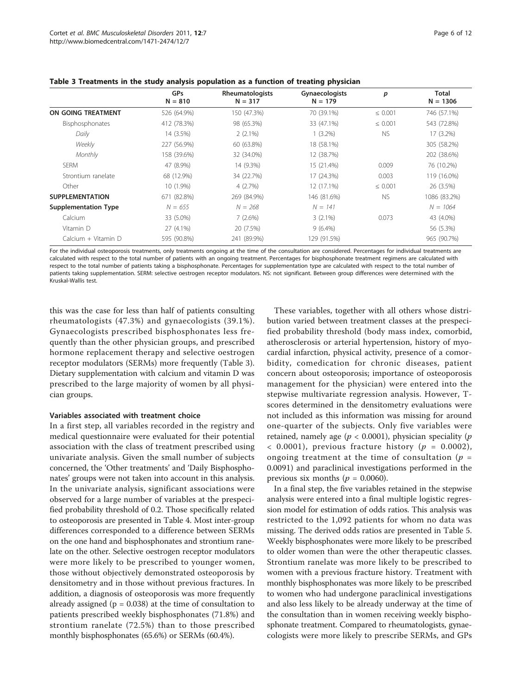|                             | GPs<br>$N = 810$ | Rheumatologists<br>$N = 317$ | <b>Gynaecologists</b><br>$N = 179$ | p            | Total<br>$N = 1306$ |
|-----------------------------|------------------|------------------------------|------------------------------------|--------------|---------------------|
| ON GOING TREATMENT          | 526 (64.9%)      | 150 (47.3%)                  | 70 (39.1%)                         | $\leq 0.001$ | 746 (57.1%)         |
| Bisphosphonates             | 412 (78.3%)      | 98 (65.3%)                   | 33 (47.1%)                         | $\leq 0.001$ | 543 (72.8%)         |
| Daily                       | 14 (3.5%)        | $2(2.1\%)$                   | $1(3.2\%)$                         | <b>NS</b>    | 17 (3.2%)           |
| Weekly                      | 227 (56.9%)      | 60 (63.8%)                   | 18 (58.1%)                         |              | 305 (58.2%)         |
| Monthly                     | 158 (39.6%)      | 32 (34.0%)                   | 12 (38.7%)                         |              | 202 (38.6%)         |
| <b>SFRM</b>                 | 47 (8.9%)        | 14 (9.3%)                    | 15 (21.4%)                         | 0.009        | 76 (10.2%)          |
| Strontium ranelate          | 68 (12.9%)       | 34 (22.7%)                   | 17 (24.3%)                         | 0.003        | 119 (16.0%)         |
| Other                       | 10 (1.9%)        | 4(2.7%)                      | 12 (17.1%)                         | $\leq 0.001$ | 26 (3.5%)           |
| <b>SUPPLEMENTATION</b>      | 671 (82.8%)      | 269 (84.9%)                  | 146 (81.6%)                        | <b>NS</b>    | 1086 (83.2%)        |
| <b>Supplementation Type</b> | $N = 655$        | $N = 268$                    | $N = 141$                          |              | $N = 1064$          |
| Calcium                     | 33 (5.0%)        | 7(2.6%)                      | $3(2.1\%)$                         | 0.073        | 43 (4.0%)           |
| Vitamin D                   | 27 (4.1%)        | 20 (7.5%)                    | $9(6.4\%)$                         |              | 56 (5.3%)           |
| $Calcium + Vitamin D$       | 595 (90.8%)      | 241 (89.9%)                  | 129 (91.5%)                        |              | 965 (90.7%)         |

<span id="page-5-0"></span>Table 3 Treatments in the study analysis population as a function of treating physician

For the individual osteoporosis treatments, only treatments ongoing at the time of the consultation are considered. Percentages for individual treatments are calculated with respect to the total number of patients with an ongoing treatment. Percentages for bisphosphonate treatment regimens are calculated with respect to the total number of patients taking a bisphosphonate. Percentages for supplementation type are calculated with respect to the total number of patients taking supplementation. SERM: selective oestrogen receptor modulators. NS: not significant. Between group differences were determined with the Kruskal-Wallis test.

this was the case for less than half of patients consulting rheumatologists (47.3%) and gynaecologists (39.1%). Gynaecologists prescribed bisphosphonates less frequently than the other physician groups, and prescribed hormone replacement therapy and selective oestrogen receptor modulators (SERMs) more frequently (Table 3). Dietary supplementation with calcium and vitamin D was prescribed to the large majority of women by all physician groups.

#### Variables associated with treatment choice

In a first step, all variables recorded in the registry and medical questionnaire were evaluated for their potential association with the class of treatment prescribed using univariate analysis. Given the small number of subjects concerned, the 'Other treatments' and 'Daily Bisphosphonates' groups were not taken into account in this analysis. In the univariate analysis, significant associations were observed for a large number of variables at the prespecified probability threshold of 0.2. Those specifically related to osteoporosis are presented in Table [4.](#page-6-0) Most inter-group differences corresponded to a difference between SERMs on the one hand and bisphosphonates and strontium ranelate on the other. Selective oestrogen receptor modulators were more likely to be prescribed to younger women, those without objectively demonstrated osteoporosis by densitometry and in those without previous fractures. In addition, a diagnosis of osteoporosis was more frequently already assigned ( $p = 0.038$ ) at the time of consultation to patients prescribed weekly bisphosphonates (71.8%) and strontium ranelate (72.5%) than to those prescribed monthly bisphosphonates (65.6%) or SERMs (60.4%).

These variables, together with all others whose distribution varied between treatment classes at the prespecified probability threshold (body mass index, comorbid, atherosclerosis or arterial hypertension, history of myocardial infarction, physical activity, presence of a comorbidity, comedication for chronic diseases, patient concern about osteoporosis; importance of osteoporosis management for the physician) were entered into the stepwise multivariate regression analysis. However, Tscores determined in the densitometry evaluations were not included as this information was missing for around one-quarter of the subjects. Only five variables were retained, namely age ( $p < 0.0001$ ), physician speciality ( $p$ )  $<$  0.0001), previous fracture history ( $p = 0.0002$ ), ongoing treatment at the time of consultation ( $p =$ 0.0091) and paraclinical investigations performed in the previous six months ( $p = 0.0060$ ).

In a final step, the five variables retained in the stepwise analysis were entered into a final multiple logistic regression model for estimation of odds ratios. This analysis was restricted to the 1,092 patients for whom no data was missing. The derived odds ratios are presented in Table [5](#page-7-0). Weekly bisphosphonates were more likely to be prescribed to older women than were the other therapeutic classes. Strontium ranelate was more likely to be prescribed to women with a previous fracture history. Treatment with monthly bisphosphonates was more likely to be prescribed to women who had undergone paraclinical investigations and also less likely to be already underway at the time of the consultation than in women receiving weekly bisphosphonate treatment. Compared to rheumatologists, gynaecologists were more likely to prescribe SERMs, and GPs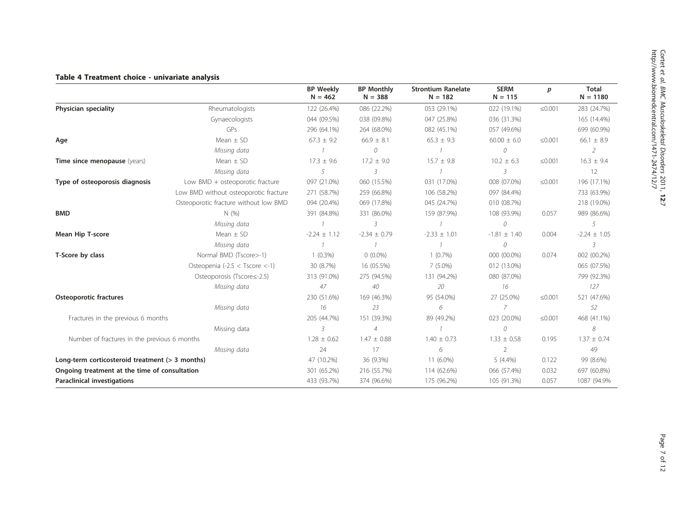<span id="page-6-0"></span>

|                                                   |                                       | <b>BP Weekly</b><br>$N = 462$ | <b>BP Monthly</b><br>$N = 388$ | <b>Strontium Ranelate</b><br>$N = 182$ | <b>SERM</b><br>$N = 115$ | p      | <b>Total</b><br>$N = 1180$ |
|---------------------------------------------------|---------------------------------------|-------------------------------|--------------------------------|----------------------------------------|--------------------------|--------|----------------------------|
| Physician speciality                              | Rheumatologists                       | 122 (26.4%)                   | 086 (22.2%)                    | 053 (29.1%)                            | 022 (19.1%)              | ≤0.001 | 283 (24.7%)                |
|                                                   | Gynaecologists                        | 044 (09.5%)                   | 038 (09.8%)                    | 047 (25.8%)                            | 036 (31.3%)              |        | 165 (14.4%)                |
|                                                   | GPs                                   | 296 (64.1%)                   | 264 (68.0%)                    | 082 (45.1%)                            | 057 (49.6%)              |        | 699 (60.9%)                |
| Age                                               | Mean $\pm$ SD                         | $67.3 \pm 9.2$                | $66.9 \pm 8.1$                 | $65.3 \pm 9.3$                         | $60.00 \pm 6.0$          | ≤0.001 | $66.1 \pm 8.9$             |
|                                                   | Missing data                          |                               | 0                              |                                        | 0                        |        | 2                          |
| Time since menopause (years)                      | Mean $\pm$ SD                         | $17.3 \pm 9.6$                | $17.2 \pm 9.0$                 | $15.7 \pm 9.8$                         | $10.2 \pm 6.3$           | ≤0.001 | $16.3 \pm 9.4$             |
|                                                   | Missing data                          | 5                             | $\overline{3}$                 |                                        | 3                        |        | 12                         |
| Type of osteoporosis diagnosis                    | Low BMD + osteoporotic fracture       | 097 (21.0%)                   | 060 (15.5%)                    | 031 (17.0%)                            | 008 (07.0%)              | ≤0.001 | 196 (17.1%)                |
|                                                   | Low BMD without osteoporotic fracture | 271 (58.7%)                   | 259 (66.8%)                    | 106 (58.2%)                            | 097 (84.4%)              |        | 733 (63.9%)                |
|                                                   | Osteoporotic fracture without low BMD | 094 (20.4%)                   | 069 (17.8%)                    | 045 (24.7%)                            | 010 (08.7%)              |        | 218 (19.0%)                |
| <b>BMD</b>                                        | N(% )                                 | 391 (84.8%)                   | 331 (86.0%)                    | 159 (87.9%)                            | 108 (93.9%)              | 0.057  | 989 (86.6%)                |
|                                                   | Missing data                          |                               | 3                              |                                        | 0                        |        | 5                          |
| Mean Hip T-score                                  | Mean $\pm$ SD                         | $-2.24 \pm 1.12$              | $-2.34 \pm 0.79$               | $-2.33 \pm 1.01$                       | $-1.81 \pm 1.40$         | 0.004  | $-2.24 \pm 1.05$           |
|                                                   | Missing data                          |                               |                                |                                        | 0                        |        | 3                          |
| T-Score by class                                  | Normal BMD (Tscore>-1)                | $1(0.3\%)$                    | $0(0.0\%)$                     | $1(0.7\%)$                             | 000 (00.0%)              | 0.074  | 002 (00.2%)                |
|                                                   | Osteopenia $(-2.5 < Tscore < -1)$     | 30 (8.7%)                     | 16 (05.5%)                     | $7(5.0\%)$                             | 012 (13.0%)              |        | 065 (07.5%)                |
|                                                   | Osteoporosis (Tscore≤-2.5)            | 313 (91.0%)                   | 275 (94.5%)                    | 131 (94.2%)                            | 080 (87.0%)              |        | 799 (92.3%)                |
|                                                   | Missing data                          | 47                            | 40                             | 20                                     | 16                       |        | 127                        |
| <b>Osteoporotic fractures</b>                     |                                       | 230 (51.6%)                   | 169 (46.3%)                    | 95 (54.0%)                             | 27 (25.0%)               | ≤0.001 | 521 (47.6%)                |
|                                                   | Missing data                          | 16                            | 23                             | 6                                      | $\overline{7}$           |        | 52                         |
| Fractures in the previous 6 months                |                                       | 205 (44.7%)                   | 151 (39.3%)                    | 89 (49.2%)                             | 023 (20.0%)              | ≤0.001 | 468 (41.1%)                |
|                                                   | Missing data                          | $\overline{3}$                | $\overline{4}$                 |                                        | 0                        |        | 8                          |
| Number of fractures in the previous 6 months      |                                       | $1.28 \pm 0.62$               | $1.47 \pm 0.88$                | $1.40 \pm 0.73$                        | $1.33 \pm 0.58$          | 0.195  | $1.37 \pm 0.74$            |
|                                                   | Missing data                          | 24                            | 17                             | 6                                      | $\overline{2}$           |        | 49                         |
| Long-term corticosteroid treatment $(> 3$ months) |                                       | 47 (10.2%)                    | 36 (9.3%)                      | $11(6.0\%)$                            | $5(4.4\%)$               | 0.122  | 99 (8.6%)                  |
| Ongoing treatment at the time of consultation     |                                       | 301 (65.2%)                   | 216 (55.7%)                    | 114 (62.6%)                            | 066 (57.4%)              | 0.032  | 697 (60.8%)                |
| <b>Paraclinical investigations</b>                |                                       | 433 (93.7%)                   | 374 (96.6%)                    | 175 (96.2%)                            | 105 (91.3%)              | 0.057  | 1087 (94.9%)               |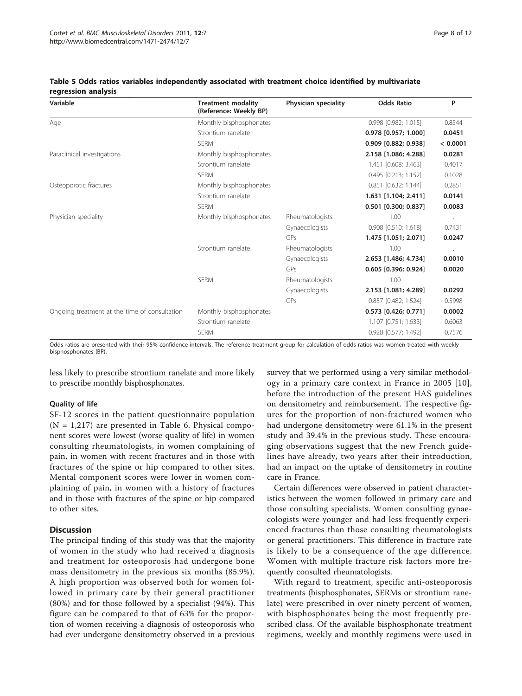| Variable                                      | <b>Treatment modality</b><br>(Reference: Weekly BP) | Physician speciality | <b>Odds Ratio</b>    | P        |
|-----------------------------------------------|-----------------------------------------------------|----------------------|----------------------|----------|
| Age                                           | Monthly bisphosphonates                             |                      | 0.998 [0.982; 1.015] | 0.8544   |
|                                               | Strontium ranelate                                  |                      | 0.978 [0.957; 1.000] | 0.0451   |
|                                               | <b>SERM</b>                                         |                      | 0.909 [0.882; 0.938] | < 0.0001 |
| Paraclinical investigations                   | Monthly bisphosphonates                             |                      | 2.158 [1.086; 4.288] | 0.0281   |
|                                               | Strontium ranelate                                  |                      | 1.451 [0.608; 3.463] | 0.4017   |
|                                               | <b>SERM</b>                                         |                      | 0.495 [0.213; 1.152] | 0.1028   |
| Osteoporotic fractures                        | Monthly bisphosphonates                             |                      | 0.851 [0.632; 1.144] | 0.2851   |
|                                               | Strontium ranelate                                  |                      | 1.631 [1.104; 2.411] | 0.0141   |
|                                               | <b>SERM</b>                                         |                      | 0.501 [0.300; 0.837] | 0.0083   |
| Physician speciality                          | Monthly bisphosphonates                             | Rheumatologists      | 1.00                 |          |
|                                               |                                                     | Gynaecologists       | 0.908 [0.510; 1.618] | 0.7431   |
|                                               |                                                     | GPs                  | 1.475 [1.051; 2.071] | 0.0247   |
|                                               | Strontium ranelate                                  | Rheumatologists      | 1.00                 |          |
|                                               |                                                     | Gynaecologists       | 2.653 [1.486; 4.734] | 0.0010   |
|                                               |                                                     | GPs                  | 0.605 [0.396; 0.924] | 0.0020   |
|                                               | <b>SFRM</b>                                         | Rheumatologists      | 1.00                 |          |
|                                               |                                                     | Gynaecologists       | 2.153 [1.081; 4.289] | 0.0292   |
|                                               |                                                     | GPs                  | 0.857 [0.482; 1.524] | 0.5998   |
| Ongoing treatment at the time of consultation | Monthly bisphosphonates                             |                      | 0.573 [0.426; 0.771] | 0.0002   |
|                                               | Strontium ranelate                                  |                      | 1.107 [0.751; 1.633] | 0.6063   |
|                                               | <b>SERM</b>                                         |                      | 0.928 [0.577; 1.492] | 0.7576   |

<span id="page-7-0"></span>Table 5 Odds ratios variables independently associated with treatment choice identified by multivariate regression analysis

Odds ratios are presented with their 95% confidence intervals. The reference treatment group for calculation of odds ratios was women treated with weekly bisphosphonates (BP).

less likely to prescribe strontium ranelate and more likely to prescribe monthly bisphosphonates.

#### Quality of life

SF-12 scores in the patient questionnaire population  $(N = 1,217)$  are presented in Table [6.](#page-8-0) Physical component scores were lowest (worse quality of life) in women consulting rheumatologists, in women complaining of pain, in women with recent fractures and in those with fractures of the spine or hip compared to other sites. Mental component scores were lower in women complaining of pain, in women with a history of fractures and in those with fractures of the spine or hip compared to other sites.

#### **Discussion**

The principal finding of this study was that the majority of women in the study who had received a diagnosis and treatment for osteoporosis had undergone bone mass densitometry in the previous six months (85.9%). A high proportion was observed both for women followed in primary care by their general practitioner (80%) and for those followed by a specialist (94%). This figure can be compared to that of 63% for the proportion of women receiving a diagnosis of osteoporosis who had ever undergone densitometry observed in a previous survey that we performed using a very similar methodology in a primary care context in France in 2005 [[10\]](#page-10-0), before the introduction of the present HAS guidelines on densitometry and reimbursement. The respective figures for the proportion of non-fractured women who had undergone densitometry were 61.1% in the present study and 39.4% in the previous study. These encouraging observations suggest that the new French guidelines have already, two years after their introduction, had an impact on the uptake of densitometry in routine care in France.

Certain differences were observed in patient characteristics between the women followed in primary care and those consulting specialists. Women consulting gynaecologists were younger and had less frequently experienced fractures than those consulting rheumatologists or general practitioners. This difference in fracture rate is likely to be a consequence of the age difference. Women with multiple fracture risk factors more frequently consulted rheumatologists.

With regard to treatment, specific anti-osteoporosis treatments (bisphosphonates, SERMs or strontium ranelate) were prescribed in over ninety percent of women, with bisphosphonates being the most frequently prescribed class. Of the available bisphosphonate treatment regimens, weekly and monthly regimens were used in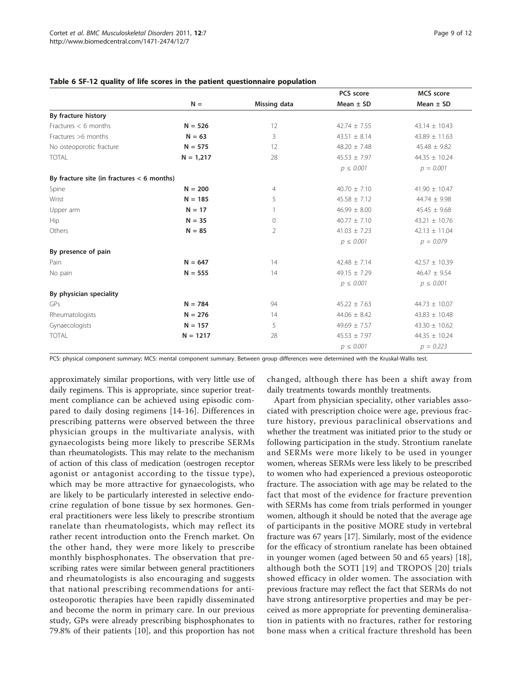|                                              |             |                | PCS score        | <b>MCS</b> score  |
|----------------------------------------------|-------------|----------------|------------------|-------------------|
|                                              | $N =$       | Missing data   | Mean $\pm$ SD    | Mean $\pm$ SD     |
| By fracture history                          |             |                |                  |                   |
| Fractures $< 6$ months                       | $N = 526$   | 12             | $42.74 \pm 7.55$ | $43.14 \pm 10.43$ |
| Fractures >6 months                          | $N = 63$    | 3              | $43.51 \pm 8.14$ | 43.89 $\pm$ 11.63 |
| No osteoporotic fracture                     | $N = 575$   | 12             | $48.20 \pm 7.48$ | $45.48 \pm 9.82$  |
| <b>TOTAL</b>                                 | $N = 1,217$ | 28             | $45.53 \pm 7.97$ | 44.35 ± 10.24     |
|                                              |             |                | $p \le 0.001$    | $p = 0.001$       |
| By fracture site (in fractures $<$ 6 months) |             |                |                  |                   |
| Spine                                        | $N = 200$   | $\overline{4}$ | $40.70 \pm 7.10$ | $41.90 \pm 10.47$ |
| Wrist                                        | $N = 185$   | 5              | $45.58 \pm 7.12$ | 44.74 $\pm$ 9.98  |
| Upper arm                                    | $N = 17$    |                | $46.99 \pm 8.00$ | $45.45 \pm 9.68$  |
| Hip                                          | $N = 35$    | $\Omega$       | $40.77 \pm 7.10$ | $43.21 \pm 10.76$ |
| Others                                       | $N = 85$    | 2              | $41.03 \pm 7.23$ | $42.13 \pm 11.04$ |
|                                              |             |                | $p \le 0.001$    | $p = 0.079$       |
| By presence of pain                          |             |                |                  |                   |
| Pain                                         | $N = 647$   | 14             | $42.48 \pm 7.14$ | $42.57 \pm 10.39$ |
| No pain                                      | $N = 555$   | 14             | $49.15 \pm 7.29$ | $46.47 \pm 9.54$  |
|                                              |             |                | $p \le 0.001$    | $p \le 0.001$     |
| By physician speciality                      |             |                |                  |                   |
| GPs                                          | $N = 784$   | 94             | $45.22 \pm 7.63$ | $44.73 \pm 10.07$ |
| Rheumatologists                              | $N = 276$   | 14             | $44.06 \pm 8.42$ | $43.83 \pm 10.48$ |
| Gynaecologists                               | $N = 157$   | 5              | $49.69 \pm 7.57$ | 43.30 $\pm$ 10.62 |
| <b>TOTAL</b>                                 | $N = 1217$  | 28             | $45.53 \pm 7.97$ | 44.35 $\pm$ 10.24 |
|                                              |             |                | $p \le 0.001$    | $p = 0.223$       |

#### <span id="page-8-0"></span>Table 6 SF-12 quality of life scores in the patient questionnaire population

PCS: physical component summary; MCS: mental component summary. Between group differences were determined with the Kruskal-Wallis test.

approximately similar proportions, with very little use of daily regimens. This is appropriate, since superior treatment compliance can be achieved using episodic compared to daily dosing regimens [[14](#page-10-0)-[16](#page-11-0)]. Differences in prescribing patterns were observed between the three physician groups in the multivariate analysis, with gynaecologists being more likely to prescribe SERMs than rheumatologists. This may relate to the mechanism of action of this class of medication (oestrogen receptor agonist or antagonist according to the tissue type), which may be more attractive for gynaecologists, who are likely to be particularly interested in selective endocrine regulation of bone tissue by sex hormones. General practitioners were less likely to prescribe strontium ranelate than rheumatologists, which may reflect its rather recent introduction onto the French market. On the other hand, they were more likely to prescribe monthly bisphosphonates. The observation that prescribing rates were similar between general practitioners and rheumatologists is also encouraging and suggests that national prescribing recommendations for antiosteoporotic therapies have been rapidly disseminated and become the norm in primary care. In our previous study, GPs were already prescribing bisphosphonates to 79.8% of their patients [[10\]](#page-10-0), and this proportion has not changed, although there has been a shift away from daily treatments towards monthly treatments.

Apart from physician speciality, other variables associated with prescription choice were age, previous fracture history, previous paraclinical observations and whether the treatment was initiated prior to the study or following participation in the study. Strontium ranelate and SERMs were more likely to be used in younger women, whereas SERMs were less likely to be prescribed to women who had experienced a previous osteoporotic fracture. The association with age may be related to the fact that most of the evidence for fracture prevention with SERMs has come from trials performed in younger women, although it should be noted that the average age of participants in the positive MORE study in vertebral fracture was 67 years [[17\]](#page-11-0). Similarly, most of the evidence for the efficacy of strontium ranelate has been obtained in younger women (aged between 50 and 65 years) [[18](#page-11-0)], although both the SOTI [[19](#page-11-0)] and TROPOS [[20](#page-11-0)] trials showed efficacy in older women. The association with previous fracture may reflect the fact that SERMs do not have strong antiresorptive properties and may be perceived as more appropriate for preventing demineralisation in patients with no fractures, rather for restoring bone mass when a critical fracture threshold has been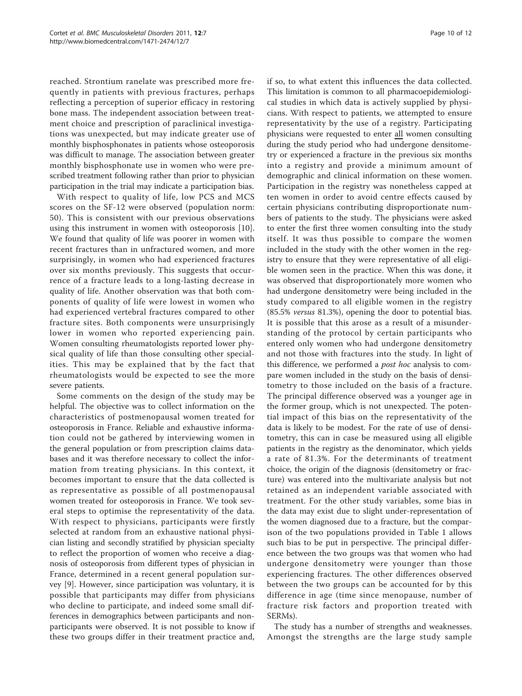reached. Strontium ranelate was prescribed more frequently in patients with previous fractures, perhaps reflecting a perception of superior efficacy in restoring bone mass. The independent association between treatment choice and prescription of paraclinical investigations was unexpected, but may indicate greater use of monthly bisphosphonates in patients whose osteoporosis was difficult to manage. The association between greater monthly bisphosphonate use in women who were prescribed treatment following rather than prior to physician participation in the trial may indicate a participation bias.

With respect to quality of life, low PCS and MCS scores on the SF-12 were observed (population norm: 50). This is consistent with our previous observations using this instrument in women with osteoporosis [\[10](#page-10-0)]. We found that quality of life was poorer in women with recent fractures than in unfractured women, and more surprisingly, in women who had experienced fractures over six months previously. This suggests that occurrence of a fracture leads to a long-lasting decrease in quality of life. Another observation was that both components of quality of life were lowest in women who had experienced vertebral fractures compared to other fracture sites. Both components were unsurprisingly lower in women who reported experiencing pain. Women consulting rheumatologists reported lower physical quality of life than those consulting other specialities. This may be explained that by the fact that rheumatologists would be expected to see the more severe patients.

Some comments on the design of the study may be helpful. The objective was to collect information on the characteristics of postmenopausal women treated for osteoporosis in France. Reliable and exhaustive information could not be gathered by interviewing women in the general population or from prescription claims databases and it was therefore necessary to collect the information from treating physicians. In this context, it becomes important to ensure that the data collected is as representative as possible of all postmenopausal women treated for osteoporosis in France. We took several steps to optimise the representativity of the data. With respect to physicians, participants were firstly selected at random from an exhaustive national physician listing and secondly stratified by physician specialty to reflect the proportion of women who receive a diagnosis of osteoporosis from different types of physician in France, determined in a recent general population survey [[9\]](#page-10-0). However, since participation was voluntary, it is possible that participants may differ from physicians who decline to participate, and indeed some small differences in demographics between participants and nonparticipants were observed. It is not possible to know if these two groups differ in their treatment practice and, if so, to what extent this influences the data collected. This limitation is common to all pharmacoepidemiological studies in which data is actively supplied by physicians. With respect to patients, we attempted to ensure representativity by the use of a registry. Participating physicians were requested to enter all women consulting during the study period who had undergone densitometry or experienced a fracture in the previous six months into a registry and provide a minimum amount of demographic and clinical information on these women. Participation in the registry was nonetheless capped at ten women in order to avoid centre effects caused by certain physicians contributing disproportionate numbers of patients to the study. The physicians were asked to enter the first three women consulting into the study itself. It was thus possible to compare the women included in the study with the other women in the registry to ensure that they were representative of all eligible women seen in the practice. When this was done, it was observed that disproportionately more women who had undergone densitometry were being included in the study compared to all eligible women in the registry (85.5% versus 81.3%), opening the door to potential bias. It is possible that this arose as a result of a misunderstanding of the protocol by certain participants who entered only women who had undergone densitometry and not those with fractures into the study. In light of this difference, we performed a *post hoc* analysis to compare women included in the study on the basis of densitometry to those included on the basis of a fracture. The principal difference observed was a younger age in the former group, which is not unexpected. The potential impact of this bias on the representativity of the data is likely to be modest. For the rate of use of densitometry, this can in case be measured using all eligible patients in the registry as the denominator, which yields a rate of 81.3%. For the determinants of treatment choice, the origin of the diagnosis (densitometry or fracture) was entered into the multivariate analysis but not retained as an independent variable associated with treatment. For the other study variables, some bias in the data may exist due to slight under-representation of the women diagnosed due to a fracture, but the comparison of the two populations provided in Table [1](#page-4-0) allows such bias to be put in perspective. The principal difference between the two groups was that women who had undergone densitometry were younger than those experiencing fractures. The other differences observed between the two groups can be accounted for by this difference in age (time since menopause, number of fracture risk factors and proportion treated with SERMs).

The study has a number of strengths and weaknesses. Amongst the strengths are the large study sample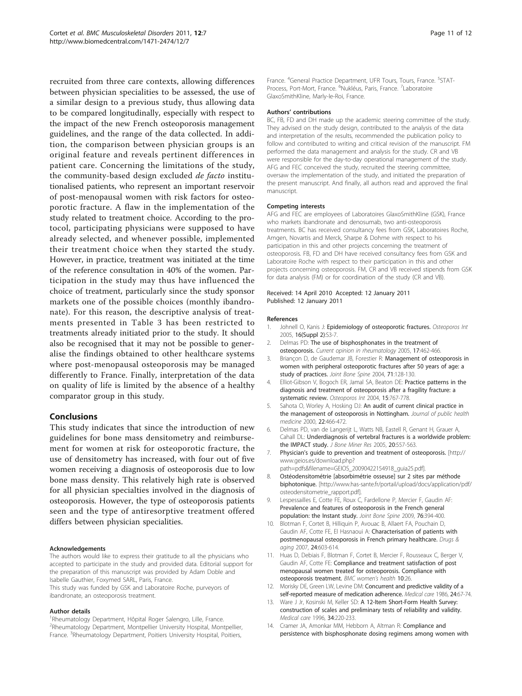<span id="page-10-0"></span>recruited from three care contexts, allowing differences between physician specialities to be assessed, the use of a similar design to a previous study, thus allowing data to be compared longitudinally, especially with respect to the impact of the new French osteoporosis management guidelines, and the range of the data collected. In addition, the comparison between physician groups is an original feature and reveals pertinent differences in patient care. Concerning the limitations of the study, the community-based design excluded de facto institutionalised patients, who represent an important reservoir of post-menopausal women with risk factors for osteoporotic fracture. A flaw in the implementation of the study related to treatment choice. According to the protocol, participating physicians were supposed to have already selected, and whenever possible, implemented their treatment choice when they started the study. However, in practice, treatment was initiated at the time of the reference consultation in 40% of the women. Participation in the study may thus have influenced the choice of treatment, particularly since the study sponsor markets one of the possible choices (monthly ibandronate). For this reason, the descriptive analysis of treatments presented in Table [3](#page-5-0) has been restricted to treatments already initiated prior to the study. It should also be recognised that it may not be possible to generalise the findings obtained to other healthcare systems where post-menopausal osteoporosis may be managed differently to France. Finally, interpretation of the data on quality of life is limited by the absence of a healthy comparator group in this study.

#### Conclusions

This study indicates that since the introduction of new guidelines for bone mass densitometry and reimbursement for women at risk for osteoporotic fracture, the use of densitometry has increased, with four out of five women receiving a diagnosis of osteoporosis due to low bone mass density. This relatively high rate is observed for all physician specialties involved in the diagnosis of osteoporosis. However, the type of osteoporosis patients seen and the type of antiresorptive treatment offered differs between physician specialities.

#### Acknowledgements

The authors would like to express their gratitude to all the physicians who accepted to participate in the study and provided data. Editorial support for the preparation of this manuscript was provided by Adam Doble and Isabelle Gauthier, Foxymed SARL, Paris, France.

This study was funded by GSK and Laboratoire Roche, purveyors of ibandronate, an osteoporosis treatment.

#### Author details

<sup>1</sup>Rheumatology Department, Hôpital Roger Salengro, Lille, France. 2 Rheumatology Department, Montpellier University Hospital, Montpellier, France. <sup>3</sup>Rheumatology Department, Poitiers University Hospital, Poitiers,

France. <sup>4</sup>General Practice Department, UFR Tours, Tours, France. <sup>5</sup>STAT-Process, Port-Mort, France. <sup>6</sup>Nukléus, Paris, France. <sup>7</sup>Laboratoire GlaxoSmithKline, Marly-le-Roi, France.

#### Authors' contributions

BC, FB, FD and DH made up the academic steering committee of the study. They advised on the study design, contributed to the analysis of the data and interpretation of the results, recommended the publication policy to follow and contributed to writing and critical revision of the manuscript. FM performed the data management and analysis for the study. CR and VB were responsible for the day-to-day operational management of the study. AFG and FEC conceived the study, recruited the steering committee, oversaw the implementation of the study, and initiated the preparation of the present manuscript. And finally, all authors read and approved the final manuscript.

#### Competing interests

AFG and FEC are employees of Laboratoires GlaxoSmithKline (GSK), France who markets ibandronate and denosumab, two anti-osteoporosis treatments. BC has received consultancy fees from GSK, Laboratoires Roche, Amgen, Novartis and Merck, Sharpe & Dohme with respect to his participation in this and other projects concerning the treatment of osteoporosis. FB, FD and DH have received consultancy fees from GSK and Laboratoire Roche with respect to their participation in this and other projects concerning osteoporosis. FM, CR and VB received stipends from GSK for data analysis (FM) or for coordination of the study (CR and VB).

#### Received: 14 April 2010 Accepted: 12 January 2011 Published: 12 January 2011

#### References

- 1. Johnell O, Kanis J: [Epidemiology of osteoporotic fractures.](http://www.ncbi.nlm.nih.gov/pubmed/15365697?dopt=Abstract) Osteoporos Int 2005, 16(Suppl 2):S3-7.
- 2. Delmas PD: [The use of bisphosphonates in the treatment of](http://www.ncbi.nlm.nih.gov/pubmed/15956844?dopt=Abstract) [osteoporosis.](http://www.ncbi.nlm.nih.gov/pubmed/15956844?dopt=Abstract) Current opinion in rheumatology 2005, 17:462-466.
- 3. Briançon D, de Gaudemar JB, Forestier R: [Management of osteoporosis in](http://www.ncbi.nlm.nih.gov/pubmed/15050196?dopt=Abstract) [women with peripheral osteoporotic fractures after 50 years of age: a](http://www.ncbi.nlm.nih.gov/pubmed/15050196?dopt=Abstract) [study of practices.](http://www.ncbi.nlm.nih.gov/pubmed/15050196?dopt=Abstract) Joint Bone Spine 2004, 71:128-130.
- 4. Elliot-Gibson V, Bogoch ER, Jamal SA, Beaton DE: [Practice patterns in the](http://www.ncbi.nlm.nih.gov/pubmed/15258724?dopt=Abstract) [diagnosis and treatment of osteoporosis after a fragility fracture: a](http://www.ncbi.nlm.nih.gov/pubmed/15258724?dopt=Abstract) [systematic review.](http://www.ncbi.nlm.nih.gov/pubmed/15258724?dopt=Abstract) Osteoporos Int 2004, 15:767-778.
- 5. Sahota O, Worley A, Hosking DJ: [An audit of current clinical practice in](http://www.ncbi.nlm.nih.gov/pubmed/11192273?dopt=Abstract) [the management of osteoporosis in Nottingham.](http://www.ncbi.nlm.nih.gov/pubmed/11192273?dopt=Abstract) Journal of public health medicine 2000, 22:466-472.
- 6. Delmas PD, van de Langerijt L, Watts NB, Eastell R, Genant H, Grauer A, Cahall DL: [Underdiagnosis of vertebral fractures is a worldwide problem:](http://www.ncbi.nlm.nih.gov/pubmed/15765173?dopt=Abstract) [the IMPACT study.](http://www.ncbi.nlm.nih.gov/pubmed/15765173?dopt=Abstract) J Bone Miner Res 2005, 20:557-563.
- 7. Physician's guide to prevention and treatment of osteoporosis. [\[http://](http://www.geios.es/download.php?path=pdfs&filename=GEIOS_20090422154918_guia25.pdf) [www.geios.es/download.php?](http://www.geios.es/download.php?path=pdfs&filename=GEIOS_20090422154918_guia25.pdf)
- [path=pdfs&filename=GEIOS\\_20090422154918\\_guia25.pdf\]](http://www.geios.es/download.php?path=pdfs&filename=GEIOS_20090422154918_guia25.pdf). 8. Ostéodensitométrie [absorbimétrie osseuse] sur 2 sites par méthode biphotonique. [[http://www.has-sante.fr/portail/upload/docs/application/pdf/](http://www.has-sante.fr/portail/upload/docs/application/pdf/osteodensitometrie_rapport.pdf) [osteodensitometrie\\_rapport.pdf\]](http://www.has-sante.fr/portail/upload/docs/application/pdf/osteodensitometrie_rapport.pdf).
- 9. Lespessailles E, Cotte FE, Roux C, Fardellone P, Mercier F, Gaudin AF: [Prevalence and features of osteoporosis in the French general](http://www.ncbi.nlm.nih.gov/pubmed/19297229?dopt=Abstract) [population: the Instant study.](http://www.ncbi.nlm.nih.gov/pubmed/19297229?dopt=Abstract) Joint Bone Spine 2009, 76:394-400.
- 10. Blotman F, Cortet B, Hilliquin P, Avouac B, Allaert FA, Pouchain D, Gaudin AF, Cotte FE, El Hasnaoui A: Characterisation of patients with postmenopausal osteoporosis in French primary healthcare. Drugs & aging 2007, 24:603-614.
- 11. Huas D, Debiais F, Blotman F, Cortet B, Mercier F, Rousseaux C, Berger V, Gaudin AF, Cotte FE: Compliance and treatment satisfaction of post menopausal women treated for osteoporosis. Compliance with osteoporosis treatment. BMC women's health 10:26.
- 12. Morisky DE, Green LW, Levine DM: [Concurrent and predictive validity of a](http://www.ncbi.nlm.nih.gov/pubmed/3945130?dopt=Abstract) [self-reported measure of medication adherence.](http://www.ncbi.nlm.nih.gov/pubmed/3945130?dopt=Abstract) Medical care 1986, 24:67-74.
- 13. Ware J Jr, Kosinski M, Keller SD: [A 12-Item Short-Form Health Survey:](http://www.ncbi.nlm.nih.gov/pubmed/8628042?dopt=Abstract) [construction of scales and preliminary tests of reliability and validity.](http://www.ncbi.nlm.nih.gov/pubmed/8628042?dopt=Abstract) Medical care 1996, 34:220-233.
- 14. Cramer JA, Amonkar MM, Hebborn A, Altman R: [Compliance and](http://www.ncbi.nlm.nih.gov/pubmed/16197664?dopt=Abstract) [persistence with bisphosphonate dosing regimens among women with](http://www.ncbi.nlm.nih.gov/pubmed/16197664?dopt=Abstract)